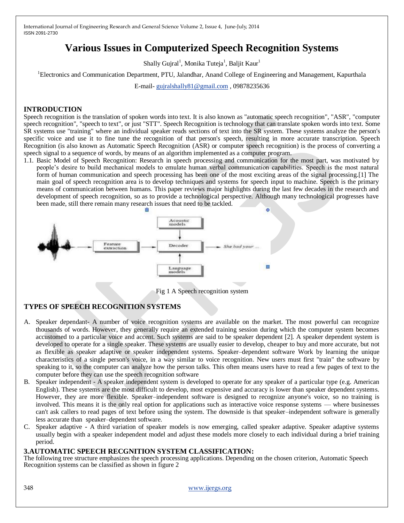# **Various Issues in Computerized Speech Recognition Systems**

Shally Gujral<sup>1</sup>, Monika Tuteja<sup>1</sup>, Baljit Kaur<sup>1</sup>

<sup>1</sup>Electronics and Communication Department, PTU, Jalandhar, Anand College of Engineering and Management, Kapurthala

E-mail- [gujralshally81@gmail.com](mailto:gujralshally81@gmail.com) , 09878235636

## **INTRODUCTION**

Speech recognition is the translation of spoken words into text. It is also known as "automatic speech recognition", "ASR", "computer speech recognition", "speech to text", or just "STT". Speech Recognition is technology that can translate spoken words into text. Some SR systems use "training" where an individual speaker reads sections of text into the SR system. These systems analyze the person's specific voice and use it to fine tune the recognition of that person's speech, resulting in more accurate transcription. Speech Recognition (is also known as Automatic Speech Recognition (ASR) or computer speech recognition) is the process of converting a speech signal to a sequence of words, by means of an algorithm implemented as a computer program.

1.1. Basic Model of Speech Recognition: Research in speech processing and communication for the most part, was motivated by people's desire to build mechanical models to emulate human verbal communication capabilities. Speech is the most natural form of human communication and speech processing has been one of the most exciting areas of the signal processing.[1] The main goal of speech recognition area is to develop techniques and systems for speech input to machine. Speech is the primary means of communication between humans. This paper reviews major highlights during the last few decades in the research and development of speech recognition, so as to provide a technological perspective. Although many technological progresses have been made, still there remain many research issues that need to be tackled. ö 面



Fig 1 A Speech recognition system

# **TYPES OF SPEECH RECOGNITION SYSTEMS**

- A. Speaker dependant*-* A number of voice recognition systems are available on the market. The most powerful can recognize thousands of words. However, they generally require an extended training session during which the computer system becomes accustomed to a particular voice and accent. Such systems are said to be speaker dependent [2]. A speaker dependent system is developed to operate for a single speaker. These systems are usually easier to develop, cheaper to buy and more accurate, but not as flexible as speaker adaptive or speaker independent systems. Speaker–dependent software Work by learning the unique characteristics of a single person's voice, in a way similar to voice recognition. New users must first "train" the software by speaking to it, so the computer can analyze how the person talks. This often means users have to read a few pages of text to the computer before they can use the speech recognition software
- B. Speaker independent A speaker independent system is developed to operate for any speaker of a particular type (e.g. American English). These systems are the most difficult to develop, most expensive and accuracy is lower than speaker dependent systems. However, they are more flexible. Speaker–independent software is designed to recognize anyone's voice, so no training is involved. This means it is the only real option for applications such as interactive voice response systems — where businesses can't ask callers to read pages of text before using the system. The downside is that speaker–independent software is generally less accurate than speaker–dependent software.
- C. Speaker adaptive **-** A third variation of speaker models is now emerging, called speaker adaptive. Speaker adaptive systems usually begin with a speaker independent model and adjust these models more closely to each individual during a brief training period.

#### **3.AUTOMATIC SPEECH RECGNITION SYSTEM CLASSIFICATION:**

The following tree structure emphasizes the speech processing applications. Depending on the chosen criterion, Automatic Speech Recognition systems can be classified as shown in figure 2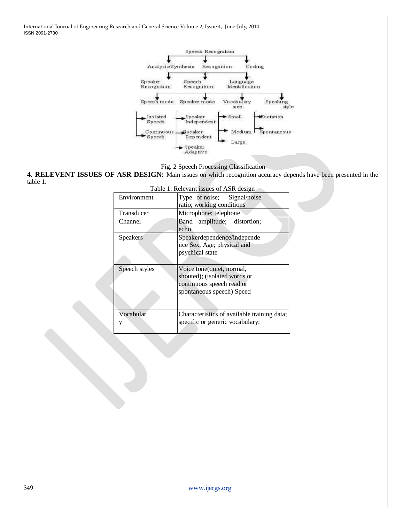

Fig. 2 Speech Processing Classification

**4. RELEVENT ISSUES OF ASR DESIGN:** Main issues on which recognition accuracy depends have been presented in the

table 1.

| Table 1: Relevant issues of ASR design |                                             |  |
|----------------------------------------|---------------------------------------------|--|
| Environment                            | Type of noise; Signal/noise                 |  |
|                                        | ratio; working conditions                   |  |
| Transducer                             | Microphone; telephone                       |  |
| Channel                                | Band amplitude; distortion;                 |  |
|                                        | echo                                        |  |
| <b>Speakers</b>                        | Speakerdependence/independe                 |  |
|                                        | nce Sex, Age; physical and                  |  |
|                                        | psychical state                             |  |
|                                        |                                             |  |
| Speech styles                          | Voice tone (quiet, normal,                  |  |
|                                        | shouted); (isolated words or                |  |
|                                        | continuous speech read or                   |  |
|                                        | spontaneous speech) Speed                   |  |
|                                        |                                             |  |
|                                        |                                             |  |
| Vocabular                              | Characteristics of available training data; |  |
|                                        | specific or generic vocabulary;             |  |
|                                        |                                             |  |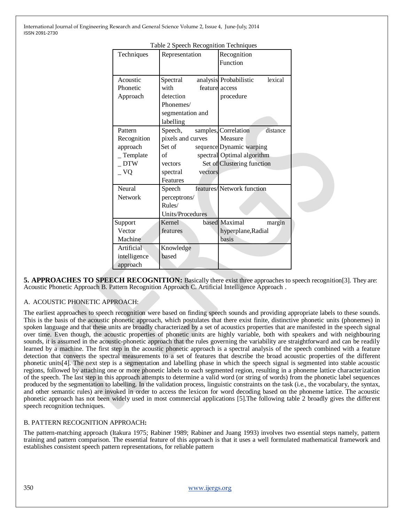| Techniques     | Representation      | Recognition                       |
|----------------|---------------------|-----------------------------------|
|                |                     | Function                          |
|                |                     |                                   |
| Acoustic       | Spectral            | lexical<br>analysis Probabilistic |
| Phonetic       | with                | feature access                    |
| Approach       | detection           | procedure                         |
|                | Phonemes/           |                                   |
|                | segmentation and    |                                   |
|                | labelling           |                                   |
| Pattern        | Speech,             | samples, Correlation<br>distance  |
| Recognition    | pixels and curves   | Measure                           |
| approach       | Set of              | sequence Dynamic warping          |
| Template       | of                  | spectral Optimal algorithm        |
| <b>DTW</b>     | vectors             | Set of Clustering function        |
| VQ             | spectral<br>vectors |                                   |
|                | Features            |                                   |
| Neural         | Speech              | features/Network function         |
| <b>Network</b> | perceptrons/        |                                   |
|                | Rules/              |                                   |
|                | Units/Procedures    |                                   |
| Support        | Kernel              | based Maximal<br>margin           |
| Vector         | features            | hyperplane, Radial                |
| Machine        |                     | basis                             |
| Artificial     | Knowledge           |                                   |
| intelligence   | based               |                                   |
| approach       |                     |                                   |

Table 2 Speech Recognition Techniques

**5. APPROACHES TO SPEECH RECOGNITION:** Basically there exist three approaches to speech recognition [3]. They are: Acoustic Phonetic Approach B. Pattern Recognition Approach C. Artificial Intelligence Approach .

#### A. ACOUSTIC PHONETIC APPROACH:

The earliest approaches to speech recognition were based on finding speech sounds and providing appropriate labels to these sounds. This is the basis of the acoustic phonetic approach, which postulates that there exist finite, distinctive phonetic units (phonemes) in spoken language and that these units are broadly characterized by a set of acoustics properties that are manifested in the speech signal over time. Even though, the acoustic properties of phonetic units are highly variable, both with speakers and with neighbouring sounds, it is assumed in the acoustic-phonetic approach that the rules governing the variability are straightforward and can be readily learned by a machine. The first step in the acoustic phonetic approach is a spectral analysis of the speech combined with a feature detection that converts the spectral measurements to a set of features that describe the broad acoustic properties of the different phonetic units[4]. The next step is a segmentation and labelling phase in which the speech signal is segmented into stable acoustic regions, followed by attaching one or more phonetic labels to each segmented region, resulting in a phoneme lattice characterization of the speech. The last step in this approach attempts to determine a valid word (or string of words) from the phonetic label sequences produced by the segmentation to labelling. In the validation process, linguistic constraints on the task (i.e., the vocabulary, the syntax, and other semantic rules) are invoked in order to access the lexicon for word decoding based on the phoneme lattice. The acoustic phonetic approach has not been widely used in most commercial applications [5].The following table 2 broadly gives the different speech recognition techniques.

#### B. PATTERN RECOGNITION APPROACH**:**

The pattern-matching approach (Itakura 1975; Rabiner 1989; Rabiner and Juang 1993) involves two essential steps namely, pattern training and pattern comparison. The essential feature of this approach is that it uses a well formulated mathematical framework and establishes consistent speech pattern representations, for reliable pattern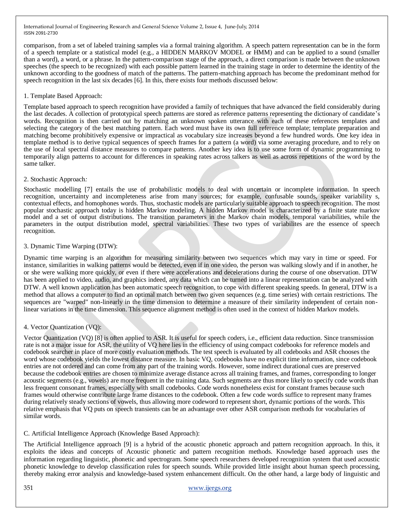comparison, from a set of labeled training samples via a formal training algorithm. A speech pattern representation can be in the form of a speech template or a statistical model (e.g., a HIDDEN MARKOV MODEL or HMM) and can be applied to a sound (smaller than a word), a word, or a phrase. In the pattern-comparison stage of the approach, a direct comparison is made between the unknown speeches (the speech to be recognized) with each possible pattern learned in the training stage in order to determine the identity of the unknown according to the goodness of match of the patterns. The pattern-matching approach has become the predominant method for speech recognition in the last six decades [6]. In this, there exists four methods discussed below:

#### 1. Template Based Approach:

Template based approach to speech recognition have provided a family of techniques that have advanced the field considerably during the last decades. A collection of prototypical speech patterns are stored as reference patterns representing the dictionary of candidate's words. Recognition is then carried out by matching an unknown spoken utterance with each of these references templates and selecting the category of the best matching pattern. Each word must have its own full reference template; template preparation and matching become prohibitively expensive or impractical as vocabulary size increases beyond a few hundred words. One key idea in template method is to derive typical sequences of speech frames for a pattern (a word) via some averaging procedure, and to rely on the use of local spectral distance measures to compare patterns. Another key idea is to use some form of dynamic programming to temporarily align patterns to account for differences in speaking rates across talkers as well as across repetitions of the word by the same talker.

#### 2. Stochastic Approach*:*

Stochastic modelling [7] entails the use of probabilistic models to deal with uncertain or incomplete information. In speech recognition, uncertainty and incompleteness arise from many sources; for example, confusable sounds, speaker variability s, contextual effects, and homophones words. Thus, stochastic models are particularly suitable approach to speech recognition. The most popular stochastic approach today is hidden Markov modeling. A hidden Markov model is characterized by a finite state markov model and a set of output distributions. The transition parameters in the Markov chain models, temporal variabilities, while the parameters in the output distribution model, spectral variabilities. These two types of variabilites are the essence of speech recognition.

## 3. Dynamic Time Warping (DTW):

Dynamic time warping is an algorithm for measuring similarity between two sequences which may vary in time or speed. For instance, similarities in walking patterns would be detected, even if in one video, the person was walking slowly and if in another, he or she were walking more quickly, or even if there were accelerations and decelerations during the course of one observation. DTW has been applied to video, audio, and graphics indeed, any data which can be turned into a linear representation can be analyzed with DTW. A well known application has been automatic speech recognition, to cope with different speaking speeds. In general, DTW is a method that allows a computer to find an optimal match between two given sequences (e.g. time series) with certain restrictions. The sequences are "warped" non-linearly in the time dimension to determine a measure of their similarity independent of certain nonlinear variations in the time dimension. This sequence alignment method is often used in the context of hidden Markov models.

# 4. Vector Quantization (VQ):

Vector Quantization (VQ) [8] is often applied to ASR. It is useful for speech coders, i.e., efficient data reduction. Since transmission rate is not a major issue for ASR, the utility of VQ here lies in the efficiency of using compact codebooks for reference models and codebook searcher in place of more costly evaluation methods. The test speech is evaluated by all codebooks and ASR chooses the word whose codebook yields the lowest distance measure. In basic VQ, codebooks have no explicit time information, since codebook entries are not ordered and can come from any part of the training words. However, some indirect durational cues are preserved because the codebook entries are chosen to minimize average distance across all training frames, and frames, corresponding to longer acoustic segments (e.g., vowels) are more frequent in the training data. Such segments are thus more likely to specify code words than less frequent consonant frames, especially with small codebooks. Code words nonetheless exist for constant frames because such frames would otherwise contribute large frame distances to the codebook. Often a few code words suffice to represent many frames during relatively steady sections of vowels, thus allowing more codeword to represent short, dynamic portions of the words. This relative emphasis that VQ puts on speech transients can be an advantage over other ASR comparison methods for vocabularies of similar words.

# C. Artificial Intelligence Approach (Knowledge Based Approach):

The Artificial Intelligence approach [9] is a hybrid of the acoustic phonetic approach and pattern recognition approach. In this, it exploits the ideas and concepts of Acoustic phonetic and pattern recognition methods. Knowledge based approach uses the information regarding linguistic, phonetic and spectrogram. Some speech researchers developed recognition system that used acoustic phonetic knowledge to develop classification rules for speech sounds. While provided little insight about human speech processing, thereby making error analysis and knowledge-based system enhancement difficult. On the other hand, a large body of linguistic and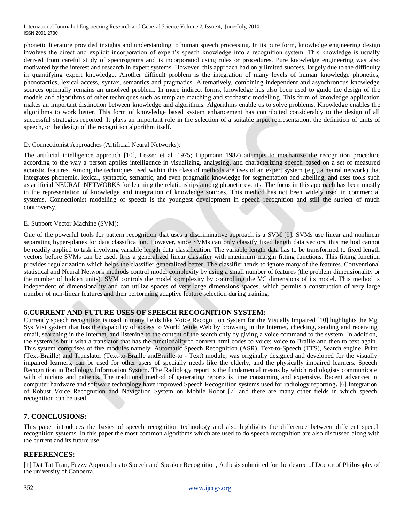phonetic literature provided insights and understanding to human speech processing. In its pure form, knowledge engineering design involves the direct and explicit incorporation of expert's speech knowledge into a recognition system. This knowledge is usually derived from careful study of spectrograms and is incorporated using rules or procedures. Pure knowledge engineering was also motivated by the interest and research in expert systems. However, this approach had only limited success, largely due to the difficulty in quantifying expert knowledge. Another difficult problem is the integration of many levels of human knowledge phonetics, phonotactics, lexical access, syntax, semantics and pragmatics. Alternatively, combining independent and asynchronous knowledge sources optimally remains an unsolved problem. In more indirect forms, knowledge has also been used to guide the design of the models and algorithms of other techniques such as template matching and stochastic modelling. This form of knowledge application makes an important distinction between knowledge and algorithms. Algorithms enable us to solve problems. Knowledge enables the algorithms to work better. This form of knowledge based system enhancement has contributed considerably to the design of all successful strategies reported. It plays an important role in the selection of a suitable input representation, the definition of units of speech, or the design of the recognition algorithm itself.

#### D. Connectionist Approaches (Artificial Neural Networks):

The artificial intelligence approach [10], Lesser et al. 1975; Lippmann 1987) attempts to mechanize the recognition procedure according to the way a person applies intelligence in visualizing, analysing, and characterizing speech based on a set of measured acoustic features. Among the techniques used within this class of methods are uses of an expert system (e.g., a neural network) that integrates phonemic, lexical, syntactic, semantic, and even pragmatic knowledge for segmentation and labelling, and uses tools such as artificial NEURAL NETWORKS for learning the relationships among phonetic events. The focus in this approach has been mostly in the representation of knowledge and integration of knowledge sources. This method has not been widely used in commercial systems. Connectionist modelling of speech is the youngest development in speech recognition and still the subject of much controversy.

## E. Support Vector Machine (SVM):

One of the powerful tools for pattern recognition that uses a discriminative approach is a SVM [9]. SVMs use linear and nonlinear separating hyper-planes for data classification. However, since SVMs can only classify fixed length data vectors, this method cannot be readily applied to task involving variable length data classification. The variable length data has to be transformed to fixed length vectors before SVMs can be used. It is a generalized linear classifier with maximum-margin fitting functions. This fitting function provides regularization which helps the classifier generalized better. The classifier tends to ignore many of the features. Conventional statistical and Neural Network methods control model complexity by using a small number of features (the problem dimensionality or the number of hidden units). SVM controls the model complexity by controlling the VC dimensions of its model. This method is independent of dimensionality and can utilize spaces of very large dimensions spaces, which permits a construction of very large number of non-linear features and then performing adaptive feature selection during training.

# **6.CURRENT AND FUTURE USES OF SPEECH RECOGNITION SYSTEM:**

Currently speech recognition is used in many fields like Voice Recognition System for the Visually Impaired [10] highlights the Mg Sys Visi system that has the capability of access to World Wide Web by browsing in the Internet, checking, sending and receiving email, searching in the Internet, and listening to the content of the search only by giving a voice command to the system. In addition, the system is built with a translator that has the functionality to convert html codes to voice; voice to Braille and then to text again. This system comprises of five modules namely: Automatic Speech Recognition (ASR), Text-to-Speech (TTS), Search engine, Print (Text-Braille) and Translator (Text-to-Braille andBraille-to - Text) module, was originally designed and developed for the visually impaired learners, can be used for other users of specially needs like the elderly, and the physically impaired learners. Speech Recognition in Radiology Information System. The Radiology report is the fundamental means by which radiologists communicate with clinicians and patients. The traditional method of generating reports is time consuming and expensive. Recent advances in computer hardware and software technology have improved Speech Recognition systems used for radiology reporting**. [**6] Integration of Robust Voice Recognition and Navigation System on Mobile Robot [7] and there are many other fields in which speech recognition can be used.

# **7. CONCLUSIONS:**

This paper introduces the basics of speech recognition technology and also highlights the difference between different speech recognition systems. In this paper the most common algorithms which are used to do speech recognition are also discussed along with the current and its future use.

# **REFERENCES:**

[1] Dat Tat Tran, Fuzzy Approaches to Speech and Speaker Recognition, A thesis submitted for the degree of Doctor of Philosophy of the university of Canberra.